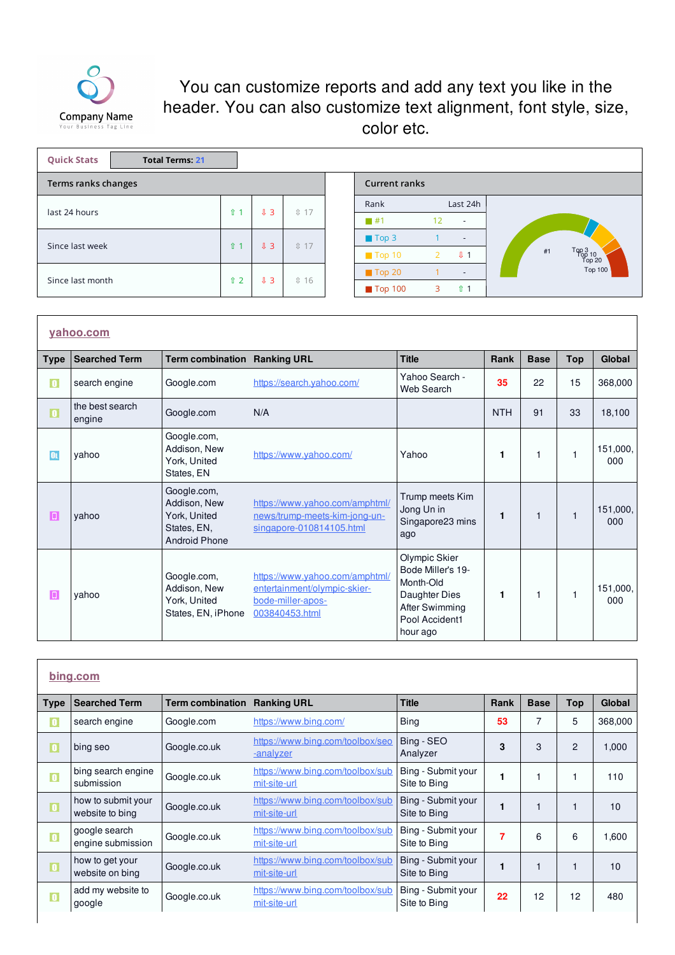

## You can customize reports and add any text you like in the header. You can also customize text alignment, font style, size, color etc.

| <b>Quick Stats</b><br><b>Total Terms: 21</b> |             |              |                    |                        |    |                          |    |                           |
|----------------------------------------------|-------------|--------------|--------------------|------------------------|----|--------------------------|----|---------------------------|
| Terms ranks changes                          |             |              |                    | <b>Current ranks</b>   |    |                          |    |                           |
| last 24 hours                                | $\hat{u}$ 1 | $J\bar{3}$   | $17$               | Rank                   |    | Last 24h                 |    |                           |
|                                              |             |              |                    | $\overline{1}$ #1      | 12 | $\sim$                   |    |                           |
| Since last week                              | $\hat{u}$ 1 | $J\bar{J}$ 3 | 1 17               | $\blacksquare$ Top 3   |    | $\overline{\phantom{a}}$ |    |                           |
|                                              |             |              |                    | $\blacksquare$ Top 10  |    | J <sub>1</sub>           | #1 | Top 3<br>Top 10<br>Top 20 |
| Since last month                             | $\hat{u}$ 2 | $J\bar{J}$ 3 | $\textcircled{16}$ | $\blacksquare$ Top 20  |    | $\overline{\phantom{0}}$ |    | Top 100                   |
|                                              |             |              |                    | $\blacksquare$ Top 100 | 3  | $\hat{u}$ 1              |    |                           |

|             | yahoo.com                 |                                                                                    |                                                                                                       |                                                                                                                  |            |             |              |                 |
|-------------|---------------------------|------------------------------------------------------------------------------------|-------------------------------------------------------------------------------------------------------|------------------------------------------------------------------------------------------------------------------|------------|-------------|--------------|-----------------|
| <b>Type</b> | <b>Searched Term</b>      | <b>Term combination</b>                                                            | <b>Ranking URL</b>                                                                                    | <b>Title</b>                                                                                                     | Rank       | <b>Base</b> | <b>Top</b>   | Global          |
| $\bullet$   | search engine             | Google.com                                                                         | https://search.yahoo.com/                                                                             | Yahoo Search -<br>Web Search                                                                                     | 35         | 22          | 15           | 368,000         |
| $\vert$ 0   | the best search<br>engine | Google.com                                                                         | N/A                                                                                                   |                                                                                                                  | <b>NTH</b> | 91          | 33           | 18,100          |
| <b>OL</b>   | yahoo                     | Google.com,<br>Addison, New<br>York, United<br>States, EN                          | https://www.yahoo.com/                                                                                | Yahoo                                                                                                            | 1          | 1           |              | 151,000,<br>000 |
| $\boxed{0}$ | vahoo                     | Google.com,<br>Addison, New<br>York, United<br>States, EN,<br><b>Android Phone</b> | https://www.yahoo.com/amphtml/<br>news/trump-meets-kim-jong-un-<br>singapore-010814105.html           | Trump meets Kim<br>Jong Un in<br>Singapore23 mins<br>ago                                                         | 1          | 1           | $\mathbf{1}$ | 151,000,<br>000 |
| П           | yahoo                     | Google.com,<br>Addison, New<br>York, United<br>States, EN, iPhone                  | https://www.yahoo.com/amphtml/<br>entertainment/olympic-skier-<br>bode-miller-apos-<br>003840453.html | Olympic Skier<br>Bode Miller's 19-<br>Month-Old<br>Daughter Dies<br>After Swimming<br>Pool Accident1<br>hour ago | 1          | 1           |              | 151,000,<br>000 |

|             | bing.com                              |                         |                                                  |                                    |      |             |                |               |
|-------------|---------------------------------------|-------------------------|--------------------------------------------------|------------------------------------|------|-------------|----------------|---------------|
| <b>Type</b> | <b>Searched Term</b>                  | <b>Term combination</b> | <b>Ranking URL</b>                               | <b>Title</b>                       | Rank | <b>Base</b> | <b>Top</b>     | <b>Global</b> |
| $\bullet$   | search engine                         | Google.com              | https://www.bing.com/                            | Bing                               | 53   | 7           | 5              | 368,000       |
| o           | bing seo                              | Google.co.uk            | https://www.bing.com/toolbox/seo<br>-analyzer    | Bing - SEO<br>Analyzer             | 3    | 3           | $\overline{2}$ | 1,000         |
| $\bullet$   | bing search engine<br>submission      | Google.co.uk            | https://www.bing.com/toolbox/sub<br>mit-site-url | Bing - Submit your<br>Site to Bing |      |             |                | 110           |
| $\vert$ 0   | how to submit your<br>website to bing | Google.co.uk            | https://www.bing.com/toolbox/sub<br>mit-site-url | Bing - Submit your<br>Site to Bing |      |             |                | 10            |
| $\bullet$   | google search<br>engine submission    | Google.co.uk            | https://www.bing.com/toolbox/sub<br>mit-site-url | Bing - Submit your<br>Site to Bing | 7    | 6           | 6              | 1,600         |
| $\Box$      | how to get your<br>website on bing    | Google.co.uk            | https://www.bing.com/toolbox/sub<br>mit-site-url | Bing - Submit your<br>Site to Bing |      |             |                | 10            |
| $\bullet$   | add my website to<br>google           | Google.co.uk            | https://www.bing.com/toolbox/sub<br>mit-site-url | Bing - Submit your<br>Site to Bing | 22   | 12          | 12             | 480           |
|             |                                       |                         |                                                  |                                    |      |             |                |               |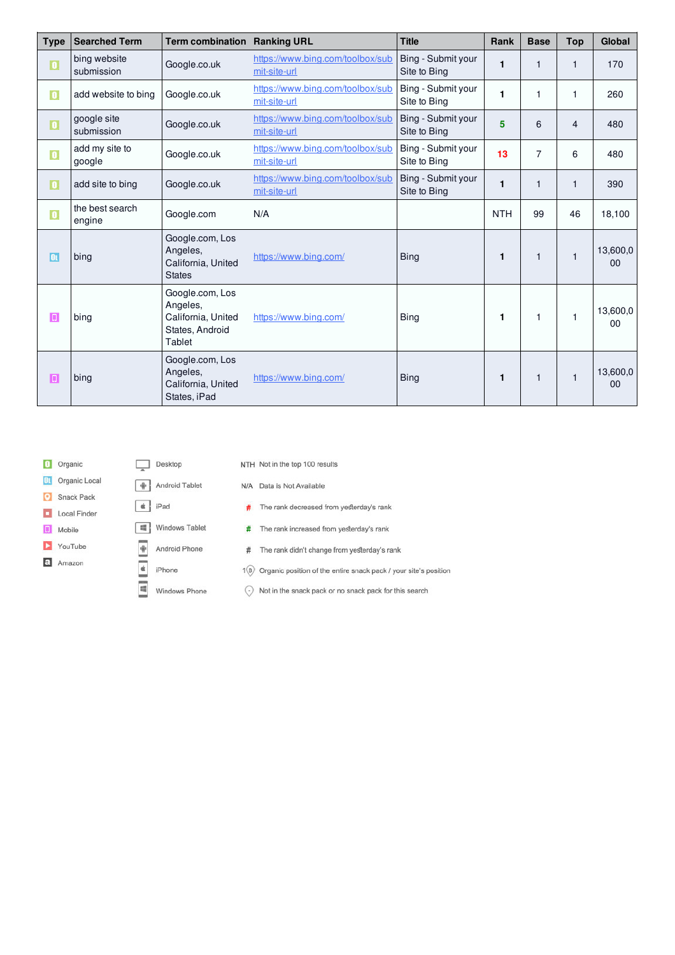| <b>Type</b>              | <b>Searched Term</b>       | <b>Term combination</b>                                                        | <b>Ranking URL</b>                               | <b>Title</b>                       | Rank       | <b>Base</b>    | <b>Top</b>     | <b>Global</b>  |
|--------------------------|----------------------------|--------------------------------------------------------------------------------|--------------------------------------------------|------------------------------------|------------|----------------|----------------|----------------|
| $\vert$ 0                | bing website<br>submission | Google.co.uk                                                                   | https://www.bing.com/toolbox/sub<br>mit-site-url | Bing - Submit your<br>Site to Bing | 1          | 1              | 1              | 170            |
| $\bullet$                | add website to bing        | Google.co.uk                                                                   | https://www.bing.com/toolbox/sub<br>mit-site-url | Bing - Submit your<br>Site to Bing | 1          | 1              | 1              | 260            |
| $\mathbf{0}$             | google site<br>submission  | Google.co.uk                                                                   | https://www.bing.com/toolbox/sub<br>mit-site-url | Bing - Submit your<br>Site to Bing | 5          | 6              | $\overline{4}$ | 480            |
| $\bullet$                | add my site to<br>google   | Google.co.uk                                                                   | https://www.bing.com/toolbox/sub<br>mit-site-url | Bing - Submit your<br>Site to Bing | 13         | $\overline{7}$ | 6              | 480            |
| $\vert \mathbf{0} \vert$ | add site to bing           | Google.co.uk                                                                   | https://www.bing.com/toolbox/sub<br>mit-site-url | Bing - Submit your<br>Site to Bing | 1          | $\mathbf{1}$   | 1              | 390            |
| $\bullet$                | the best search<br>engine  | Google.com                                                                     | N/A                                              |                                    | <b>NTH</b> | 99             | 46             | 18,100         |
| OL                       | bing                       | Google.com, Los<br>Angeles,<br>California, United<br><b>States</b>             | https://www.bing.com/                            | <b>Bing</b>                        | 1          | 1              | 1              | 13,600,0<br>00 |
| $\boxed{1}$              | bing                       | Google.com, Los<br>Angeles,<br>California, United<br>States, Android<br>Tablet | https://www.bing.com/                            | <b>Bing</b>                        | 1          | 1              | 1              | 13,600,0<br>00 |
| Π                        | bing                       | Google.com, Los<br>Angeles,<br>California, United<br>States, iPad              | https://www.bing.com/                            | <b>Bing</b>                        | 1          | $\mathbf{1}$   | 1              | 13,600,0<br>00 |

|    | Organic       |                    | Desktop        | NTH Not |     |
|----|---------------|--------------------|----------------|---------|-----|
| Oτ | Organic Local |                    | Android Tablet | N/A Dat |     |
|    | Snack Pack    |                    |                |         |     |
|    | Local Finder  | -61                | iPad           | #       | The |
| Ш  | Mobile        | 晴り                 | Windows Tablet | #       | The |
|    | YouTube       | $\ddot{\mathrm{}}$ | Android Phone  | #       | The |
| a  | Amazon        |                    | iPhone         | 1(B)    | Org |
|    |               | 蝠                  | Windows Phone  |         | Not |

|     |     | NTH Not in the top 100 results               |
|-----|-----|----------------------------------------------|
| эt  | N/A | Data is Not Available                        |
|     | #   | The rank decreased from yesterday's rank     |
| let | #   | The rank increased from yesterday's rank     |
| ė   | #   | The rank didn't change from yesterday's rank |
|     |     |                                              |

ganic position of the entire snack pack / your site's position

 $\bigodot$  Not in the snack pack or no snack pack for this search